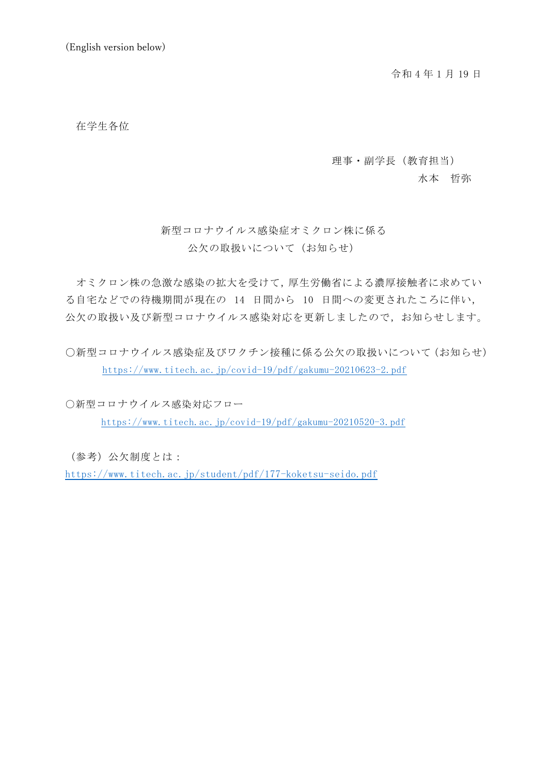令和 4 年 1 月 19 日

在学生各位

理事・副学長(教育担当)

水本 哲弥

# 新型コロナウイルス感染症オミクロン株に係る 公欠の取扱いについて(お知らせ)

オミクロン株の急激な感染の拡大を受けて,厚生労働省による濃厚接触者に求めてい る自宅などでの待機期間が現在の 14 日間から 10 日間への変更されたころに伴い, 公欠の取扱い及び新型コロナウイルス感染対応を更新しましたので,お知らせします。

〇新型コロナウイルス感染症及びワクチン接種に係る公欠の取扱いについて(お知らせ) <https://www.titech.ac.jp/covid-19/pdf/gakumu-20210623-2.pdf>

〇新型コロナウイルス感染対応フロー <https://www.titech.ac.jp/covid-19/pdf/gakumu-20210520-3.pdf>

(参考)公欠制度とは:

<https://www.titech.ac.jp/student/pdf/177-koketsu-seido.pdf>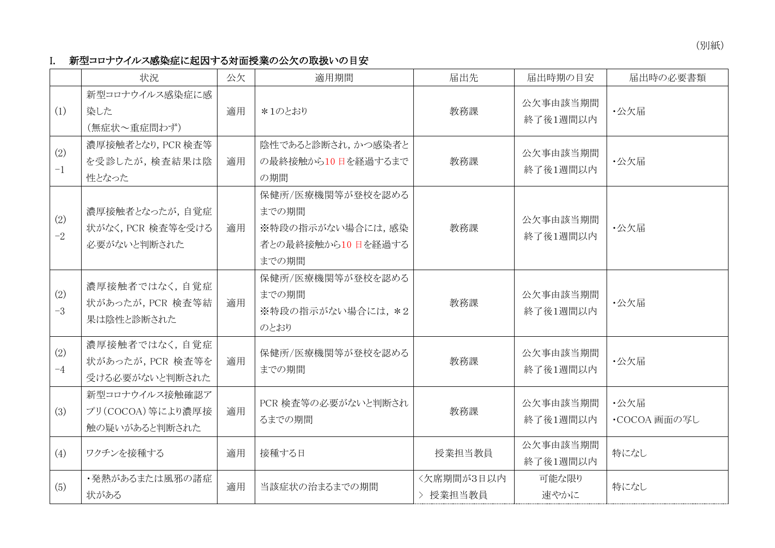(別紙)

## I. 新型コロナウイルス感染症に起因する対面授業の公欠の取扱いの目安

|             | 状況                                                  | 公欠 | 適用期間                                                                        | 届出先                    | 届出時期の目安              | 届出時の必要書類             |
|-------------|-----------------------------------------------------|----|-----------------------------------------------------------------------------|------------------------|----------------------|----------------------|
| (1)         | 新型コロナウイルス感染症に感<br>染した<br>(無症状~重症問わず)                | 適用 | *1のとおり                                                                      | 教務課                    | 公欠事由該当期間<br>終了後1週間以内 | ·公欠届                 |
| (2)<br>$-1$ | 濃厚接触者となり, PCR 検査等<br>を受診したが,検査結果は陰<br>性となった         | 適用 | 陰性であると診断され、かつ感染者と<br>の最終接触から10日を経過するまで<br>の期間                               | 教務課                    | 公欠事由該当期間<br>終了後1週間以内 | ·公欠届                 |
| (2)<br>$-2$ | 濃厚接触者となったが、自覚症<br>状がなく, PCR 検査等を受ける<br>必要がないと判断された  | 適用 | 保健所/医療機関等が登校を認める<br>までの期間<br>※特段の指示がない場合には、感染<br>者との最終接触から10日を経過する<br>までの期間 | 教務課                    | 公欠事由該当期間<br>終了後1週間以内 | ・公欠届                 |
| (2)<br>$-3$ | 濃厚接触者ではなく、自覚症<br>状があったが, PCR 検査等結<br>果は陰性と診断された     | 適用 | 保健所/医療機関等が登校を認める<br>までの期間<br>※特段の指示がない場合には、*2<br>のとおり                       | 教務課                    | 公欠事由該当期間<br>終了後1週間以内 | ·公欠届                 |
| (2)<br>$-4$ | 濃厚接触者ではなく、自覚症<br>状があったが, PCR 検査等を<br>受ける必要がないと判断された | 適用 | 保健所/医療機関等が登校を認める<br>までの期間                                                   | 教務課                    | 公欠事由該当期間<br>終了後1週間以内 | ·公欠届                 |
| (3)         | 新型コロナウイルス接触確認ア<br>プリ(COCOA)等により濃厚接<br>触の疑いがあると判断された | 適用 | PCR 検査等の必要がないと判断され<br>るまでの期間                                                | 教務課                    | 公欠事由該当期間<br>終了後1週間以内 | ・公欠届<br>・COCOA 画面の写し |
| (4)         | ワクチンを接種する                                           | 適用 | 接種する日                                                                       | 授業担当教員                 | 公欠事由該当期間<br>終了後1週間以内 | 特になし                 |
| (5)         | ・発熱があるまたは風邪の諸症<br>状がある                              | 適用 | 当該症状の治まるまでの期間                                                               | <欠席期間が3日以内<br>> 授業担当教員 | 可能な限り<br>速やかに        | 特になし                 |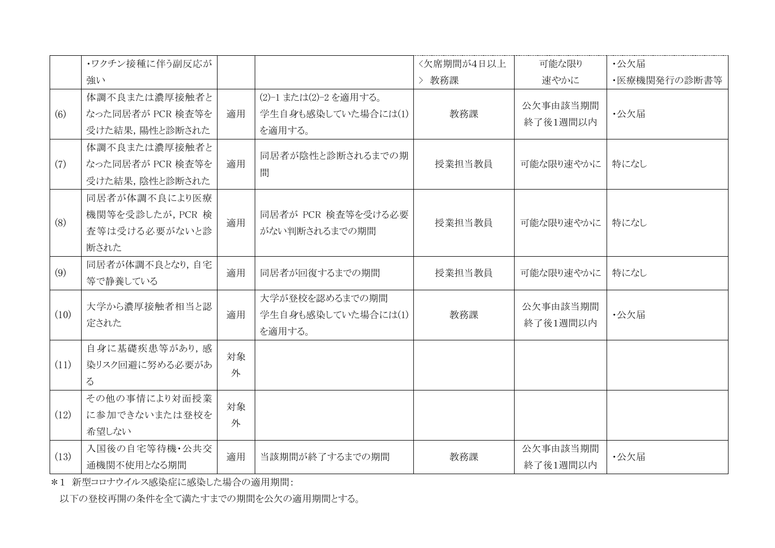|      | ・ワクチン接種に伴う副反応が                                             |         |                                                       | <欠席期間が4日以上 | 可能な限り                | ・公欠届         |
|------|------------------------------------------------------------|---------|-------------------------------------------------------|------------|----------------------|--------------|
|      | 強い                                                         |         |                                                       | 教務課        | 速やかに                 | ・医療機関発行の診断書等 |
| (6)  | 体調不良または濃厚接触者と<br>なった同居者が PCR 検査等を<br>受けた結果, 陽性と診断された       | 適用      | (2)-1 または(2)-2 を適用する。<br>学生自身も感染していた場合には(1)<br>を適用する。 | 教務課        | 公欠事由該当期間<br>終了後1週間以内 | ·公欠届         |
| (7)  | 体調不良または濃厚接触者と<br>なった同居者が PCR 検査等を<br>受けた結果,陰性と診断された        | 適用      | 同居者が陰性と診断されるまでの期<br>間                                 | 授業担当教員     | 可能な限り速やかに            | 特になし         |
| (8)  | 同居者が体調不良により医療<br>機関等を受診したが, PCR 検<br>査等は受ける必要がないと診<br>断された | 適用      | 同居者が PCR 検査等を受ける必要<br>がない判断されるまでの期間                   | 授業担当教員     | 可能な限り速やかに            | 特になし         |
| (9)  | 同居者が体調不良となり,自宅<br>等で静養している                                 | 適用      | 同居者が回復するまでの期間                                         | 授業担当教員     | 可能な限り速やかに            | 特になし         |
| (10) | 大学から濃厚接触者相当と認<br>定された                                      | 適用      | 大学が登校を認めるまでの期間<br>学生自身も感染していた場合には(1)<br>を適用する。        | 教務課        | 公欠事由該当期間<br>終了後1週間以内 | ·公欠届         |
| (11) | 自身に基礎疾患等があり,感<br>染リスク回避に努める必要があ<br>$\zeta$                 | 対象<br>外 |                                                       |            |                      |              |
| (12) | その他の事情により対面授業<br>に参加できないまたは登校を<br>希望しない                    | 対象<br>外 |                                                       |            |                      |              |
| (13) | 入国後の自宅等待機・公共交<br>通機関不使用となる期間                               | 適用      | 当該期間が終了するまでの期間                                        | 教務課        | 公欠事由該当期間<br>終了後1週間以内 | ·公欠届         |

\*1 新型コロナウイルス感染症に感染した場合の適用期間:

以下の登校再開の条件を全て満たすまでの期間を公欠の適用期間とする。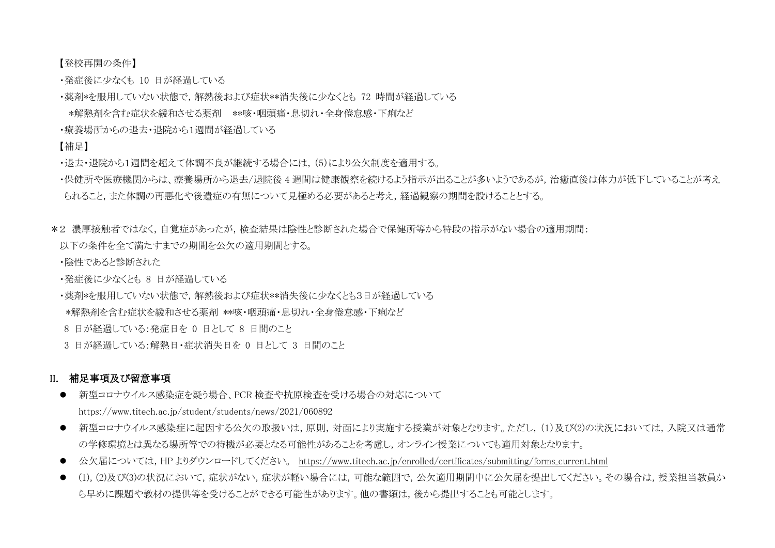【登校再開の条件】

- ・発症後に少なくも 10 日が経過している
- ・薬剤\*を服用していない状態で,解熱後および症状\*\*消失後に少なくとも 72 時間が経過している
- \*解熱剤を含む症状を緩和させる薬剤 \*\*咳・咽頭痛・息切れ・全身倦怠感・下痢など
- ・療養場所からの退去・退院から1週間が経過している

#### 【補足】

- ・退去・退院から1週間を超えて体調不良が継続する場合には,(5)により公欠制度を適用する。
- ・保健所や医療機関からは、療養場所から退去/退院後 4 週間は健康観察を続けるよう指示が出ることが多いようであるが, 治癒直後は体力が低下していることが考え られること,また体調の再悪化や後遺症の有無について見極める必要があると考え,経過観察の期間を設けることとする。
- \*2 濃厚接触者ではなく,自覚症があったが,検査結果は陰性と診断された場合で保健所等から特段の指示がない場合の適用期間:
- 以下の条件を全て満たすまでの期間を公欠の適用期間とする。
- ・陰性であると診断された
- •発症後に少かくとも 8 日が経過している
- ・薬剤\*を服用していない状態で, 解熱後および症状\*\*消失後に少なくとも3日が経過している
- \*解熱剤を含む症状を緩和させる薬剤 \*\*咳・咽頭痛・息切れ・全身倦怠感・下痢など
- 8 日が経過している:発症日を 0 日として 8 日間のこと
- 3 日が経過している:解熱日・症状消失日を 0 日として 3 日間のこと

## II. 補足事項及び留意事項

- 新型コロナウイルス感染症を疑う場合、PCR 検査や抗原検査を受ける場合の対応について https://www.titech.ac.jp/student/students/news/2021/060892
- 新型コロナウイルス感染症に起因する公欠の取扱いは,原則,対面により実施する授業が対象となります。ただし,(1)及び(2)の状況においては,入院又は通常 の学修環境とは異なる場所等での待機が必要となる可能性があることを考慮し,オンライン授業についても適用対象となります。
- 公欠届については,HP よりダウンロードしてください。 [https://www.titech.ac.jp/enrolled/certificates/submitting/forms\\_current.html](https://www.titech.ac.jp/enrolled/certificates/submitting/forms_current.html)
- (1),(2)及び(3)の状況において、症状がない、症状が軽い場合には、可能な範囲で、公欠適用期間中に公欠届を提出してください。その場合は、授業担当教員か ら早めに課題や教材の提供等を受けることができる可能性があります。他の書類は,後から提出することも可能とします。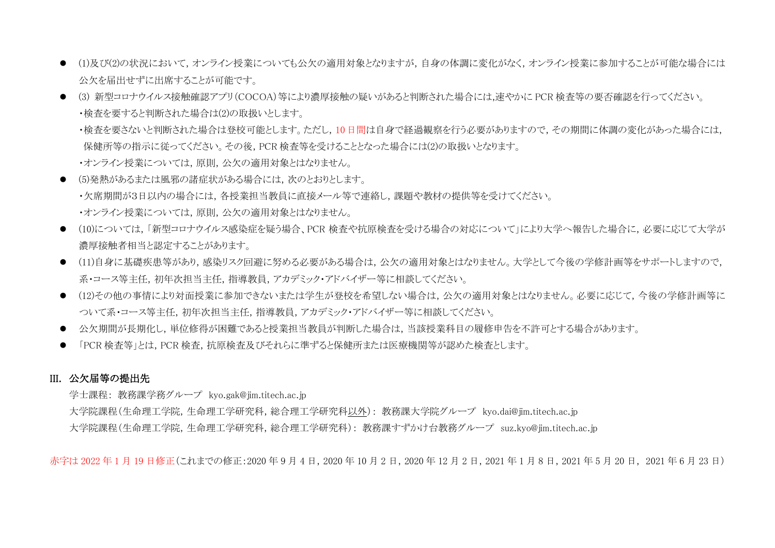- (1)及び(2)の状況において,オンライン授業についても公欠の適用対象となりますが,自身の体調に変化がなく,オンライン授業に参加することが可能な場合には 公欠を届出せずに出席することが可能です。
- (3)新型コロナウイルス接触確認アプリ(COCOA)等により濃厚接触の疑いがあると判断された場合には,速やかに PCR 検査等の要否確認を行ってください。 ・検査を要すると判断された場合は(2)の取扱いとします。 ・検査を要さないと判断された場合は登校可能とします。ただし,10日間は自身で経過観察を行う必要がありますので,その期間に体調の変化があった場合には, 保健所等の指示に従ってください。その後,PCR 検査等を受けることとなった場合には(2)の取扱いとなります。 ・オンライン授業については,原則,公欠の適用対象とはなりません。
- (5)発熱があるまたは風邪の諸症状がある場合には,次のとおりとします。 ・欠席期間が3日以内の場合には,各授業担当教員に直接メール等で連絡し,課題や教材の提供等を受けてください。 ・オンライン授業については,原則,公欠の適用対象とはなりません。
- (10)については, 「新型コロナウイルス感染症を疑う場合、PCR 検査や抗原検査を受ける場合の対応について」により大学へ報告した場合に, 必要に応じて大学が 濃厚接触者相当と認定することがあります。
- (11)自身に基礎疾患等があり,感染リスク回避に努める必要がある場合は、公欠の適用対象とはなりません。大学として今後の学修計画等をサポートしますので, 系・コース等主任,初年次担当主任,指導教員,アカデミック・アドバイザー等に相談してください。
- (12)その他の事情により対面授業に参加できないまたは学生が登校を希望しない場合は、公欠の適用対象とはなりません。必要に応じて、今後の学修計画等に ついて系・コース等主任,初年次担当主任,指導教員,アカデミック・アドバイザー等に相談してください。
- 公欠期間が長期化し,単位修得が困難であると授業担当教員が判断した場合は,当該授業科目の履修申告を不許可とする場合があります。
- 「PCR 検査等」とは, PCR 検査, 抗原検査及びそれらに準ずると保健所または医療機関等が認めた検査とします。

#### III. 公欠届等の提出先

学士課程: 教務課学務グループ kyo.gak@jim.titech.ac.jp

大学院課程(生命理工学院,生命理工学研究科,総合理工学研究科以外): 教務課大学院グループ kyo.dai@jim.titech.ac.jp 大学院課程(生命理工学院,生命理工学研究科,総合理工学研究科): 教務課すずかけ台教務グループ suz.kyo@jim.titech.ac.jp

赤字は 2022 年1月19日修正(これまでの修正:2020年9月4日, 2020年10月2日, 2020年12月2日, 2021年1月8日, 2021年5月20日, 2021年6月23日)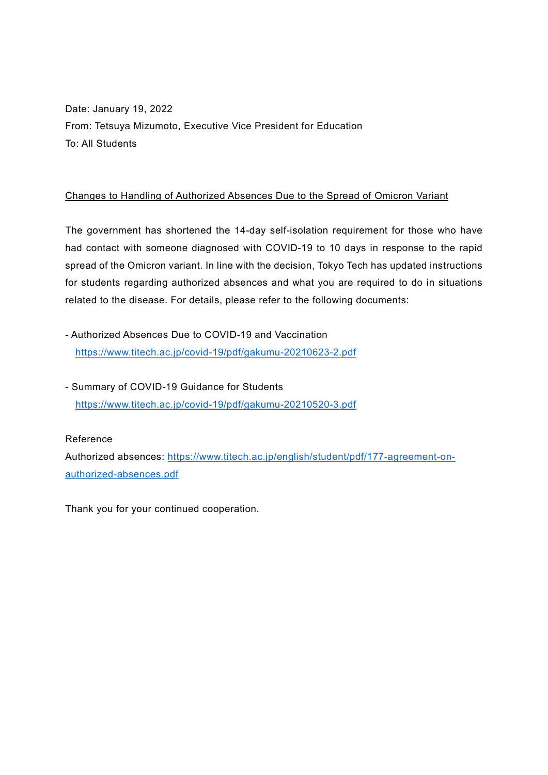Date: January 19, 2022 From: Tetsuya Mizumoto, Executive Vice President for Education To: All Students

## Changes to Handling of Authorized Absences Due to the Spread of Omicron Variant

The government has shortened the 14-day self-isolation requirement for those who have had contact with someone diagnosed with COVID-19 to 10 days in response to the rapid spread of the Omicron variant. In line with the decision, Tokyo Tech has updated instructions for students regarding authorized absences and what you are required to do in situations related to the disease. For details, please refer to the following documents:

- Authorized Absences Due to COVID-19 and Vaccination <https://www.titech.ac.jp/covid-19/pdf/gakumu-20210623-2.pdf>
- Summary of COVID-19 Guidance for Students <https://www.titech.ac.jp/covid-19/pdf/gakumu-20210520-3.pdf>

#### Reference

Authorized absences: [https://www.titech.ac.jp/english/student/pdf/177-agreement-on](https://www.titech.ac.jp/english/student/pdf/177-agreement-on-authorized-absences.pdf)[authorized-absences.pdf](https://www.titech.ac.jp/english/student/pdf/177-agreement-on-authorized-absences.pdf)

Thank you for your continued cooperation.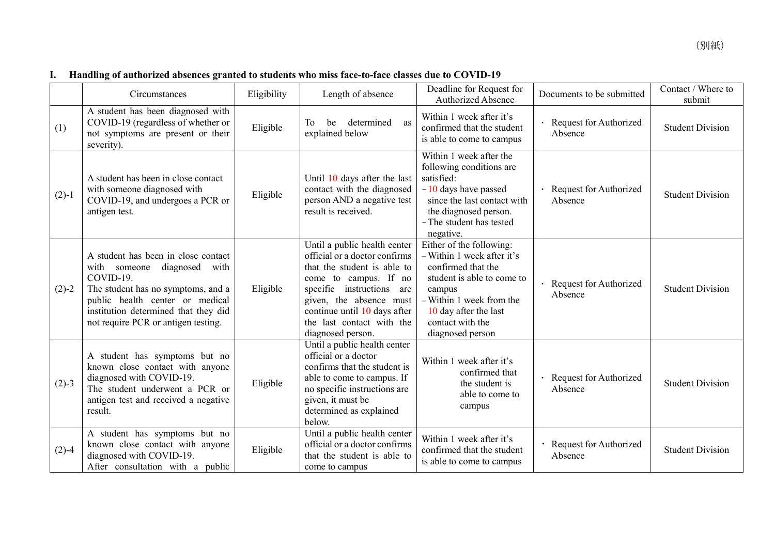|         | Circumstances                                                                                                                                                                                                                              | Eligibility | Length of absence                                                                                                                                                                                                                                               | Deadline for Request for<br><b>Authorized Absence</b>                                                                                                                                                             | Documents to be submitted                      | Contact / Where to<br>submit |
|---------|--------------------------------------------------------------------------------------------------------------------------------------------------------------------------------------------------------------------------------------------|-------------|-----------------------------------------------------------------------------------------------------------------------------------------------------------------------------------------------------------------------------------------------------------------|-------------------------------------------------------------------------------------------------------------------------------------------------------------------------------------------------------------------|------------------------------------------------|------------------------------|
| (1)     | A student has been diagnosed with<br>COVID-19 (regardless of whether or<br>not symptoms are present or their<br>severity).                                                                                                                 | Eligible    | determined<br>To<br>be<br>as<br>explained below                                                                                                                                                                                                                 | Within 1 week after it's<br>confirmed that the student<br>is able to come to campus                                                                                                                               | · Request for Authorized<br>Absence            | <b>Student Division</b>      |
| $(2)-1$ | A student has been in close contact<br>with someone diagnosed with<br>COVID-19, and undergoes a PCR or<br>antigen test.                                                                                                                    | Eligible    | Until 10 days after the last<br>contact with the diagnosed<br>person AND a negative test<br>result is received.                                                                                                                                                 | Within 1 week after the<br>following conditions are<br>satisfied:<br>$-10$ days have passed<br>since the last contact with<br>the diagnosed person.<br>- The student has tested<br>negative.                      | · Request for Authorized<br>Absence            | <b>Student Division</b>      |
| $(2)-2$ | A student has been in close contact<br>with someone<br>diagnosed with<br>COVID-19.<br>The student has no symptoms, and a<br>public health center or medical<br>institution determined that they did<br>not require PCR or antigen testing. | Eligible    | Until a public health center<br>official or a doctor confirms<br>that the student is able to<br>come to campus. If no<br>specific instructions are<br>given, the absence must<br>continue until 10 days after<br>the last contact with the<br>diagnosed person. | Either of the following:<br>- Within 1 week after it's<br>confirmed that the<br>student is able to come to<br>campus<br>- Within 1 week from the<br>10 day after the last<br>contact with the<br>diagnosed person | Request for Authorized<br>$\bullet$<br>Absence | <b>Student Division</b>      |
| $(2)-3$ | A student has symptoms but no<br>known close contact with anyone<br>diagnosed with COVID-19.<br>The student underwent a PCR or<br>antigen test and received a negative<br>result.                                                          | Eligible    | Until a public health center<br>official or a doctor<br>confirms that the student is<br>able to come to campus. If<br>no specific instructions are<br>given, it must be<br>determined as explained<br>below.                                                    | Within 1 week after it's<br>confirmed that<br>the student is<br>able to come to<br>campus                                                                                                                         | Request for Authorized<br>$\bullet$<br>Absence | <b>Student Division</b>      |
| $(2)-4$ | A student has symptoms but no<br>known close contact with anyone<br>diagnosed with COVID-19.<br>After consultation with a public                                                                                                           | Eligible    | Until a public health center<br>official or a doctor confirms<br>that the student is able to<br>come to campus                                                                                                                                                  | Within 1 week after it's<br>confirmed that the student<br>is able to come to campus                                                                                                                               | Request for Authorized<br>Absence              | <b>Student Division</b>      |

## **I. Handling of authorized absences granted to students who miss face-to-face classes due to COVID-19**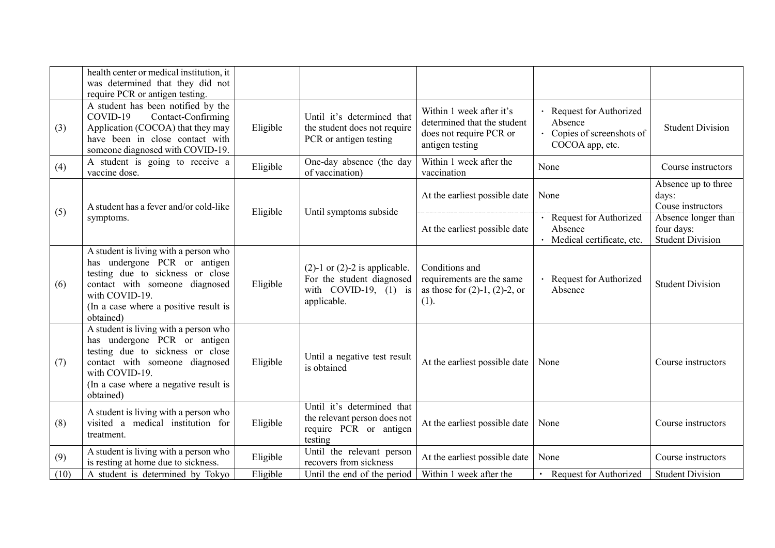|      | health center or medical institution, it<br>was determined that they did not<br>require PCR or antigen testing.                                                                                                     |          |                                                                                                             |                                                                                                       |                                                                                      |                                                              |
|------|---------------------------------------------------------------------------------------------------------------------------------------------------------------------------------------------------------------------|----------|-------------------------------------------------------------------------------------------------------------|-------------------------------------------------------------------------------------------------------|--------------------------------------------------------------------------------------|--------------------------------------------------------------|
| (3)  | A student has been notified by the<br>COVID-19<br>Contact-Confirming<br>Application (COCOA) that they may<br>have been in close contact with<br>someone diagnosed with COVID-19.                                    | Eligible | Until it's determined that<br>the student does not require<br>PCR or antigen testing                        | Within 1 week after it's<br>determined that the student<br>does not require PCR or<br>antigen testing | · Request for Authorized<br>Absence<br>• Copies of screenshots of<br>COCOA app, etc. | <b>Student Division</b>                                      |
| (4)  | A student is going to receive a<br>vaccine dose.                                                                                                                                                                    | Eligible | One-day absence (the day<br>of vaccination)                                                                 | Within 1 week after the<br>vaccination                                                                | None                                                                                 | Course instructors                                           |
|      | A student has a fever and/or cold-like                                                                                                                                                                              |          |                                                                                                             | At the earliest possible date                                                                         | None                                                                                 | Absence up to three<br>days:<br>Couse instructors            |
| (5)  | symptoms.                                                                                                                                                                                                           | Eligible | Until symptoms subside                                                                                      | At the earliest possible date                                                                         | · Request for Authorized<br>Absence<br>· Medical certificate, etc.                   | Absence longer than<br>four days:<br><b>Student Division</b> |
| (6)  | A student is living with a person who<br>has undergone PCR or antigen<br>testing due to sickness or close<br>contact with someone diagnosed<br>with COVID-19.<br>(In a case where a positive result is<br>obtained) | Eligible | $(2)-1$ or $(2)-2$ is applicable.<br>For the student diagnosed<br>with $COVID-19$ , $(1)$ is<br>applicable. | Conditions and<br>requirements are the same<br>as those for $(2)-1$ , $(2)-2$ , or<br>(1).            | · Request for Authorized<br>Absence                                                  | <b>Student Division</b>                                      |
| (7)  | A student is living with a person who<br>has undergone PCR or antigen<br>testing due to sickness or close<br>contact with someone diagnosed<br>with COVID-19.<br>(In a case where a negative result is<br>obtained) | Eligible | Until a negative test result<br>is obtained                                                                 | At the earliest possible date                                                                         | None                                                                                 | Course instructors                                           |
| (8)  | A student is living with a person who<br>visited a medical institution for<br>treatment.                                                                                                                            | Eligible | Until it's determined that<br>the relevant person does not<br>require PCR or antigen<br>testing             | At the earliest possible date                                                                         | None                                                                                 | Course instructors                                           |
| (9)  | A student is living with a person who<br>is resting at home due to sickness.                                                                                                                                        | Eligible | Until the relevant person<br>recovers from sickness                                                         | At the earliest possible date                                                                         | None                                                                                 | Course instructors                                           |
| (10) | A student is determined by Tokyo                                                                                                                                                                                    | Eligible | Until the end of the period                                                                                 | Within 1 week after the                                                                               | Request for Authorized                                                               | <b>Student Division</b>                                      |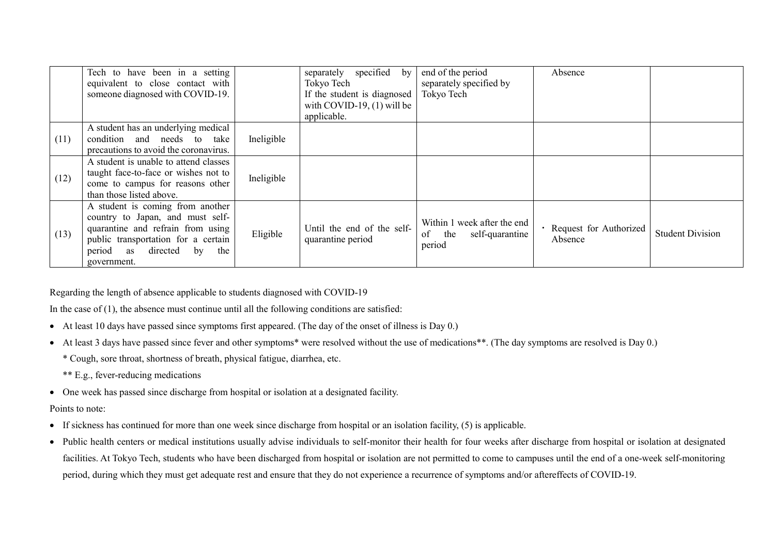|      | Tech to have been in a setting<br>equivalent to close contact with<br>someone diagnosed with COVID-19.                                                                                          |            | separately specified<br>by<br>Tokyo Tech<br>If the student is diagnosed<br>with COVID-19, $(1)$ will be<br>applicable. | end of the period<br>separately specified by<br>Tokyo Tech         | Absence                             |                         |
|------|-------------------------------------------------------------------------------------------------------------------------------------------------------------------------------------------------|------------|------------------------------------------------------------------------------------------------------------------------|--------------------------------------------------------------------|-------------------------------------|-------------------------|
| (11) | A student has an underlying medical<br>condition and needs to take<br>precautions to avoid the coronavirus.                                                                                     | Ineligible |                                                                                                                        |                                                                    |                                     |                         |
| (12) | A student is unable to attend classes<br>taught face-to-face or wishes not to<br>come to campus for reasons other<br>than those listed above.                                                   | Ineligible |                                                                                                                        |                                                                    |                                     |                         |
| (13) | A student is coming from another<br>country to Japan, and must self-<br>quarantine and refrain from using<br>public transportation for a certain<br>period as directed by<br>the<br>government. | Eligible   | Until the end of the self-<br>quarantine period                                                                        | Within 1 week after the end<br>of<br>the self-quarantine<br>period | · Request for Authorized<br>Absence | <b>Student Division</b> |

Regarding the length of absence applicable to students diagnosed with COVID-19

In the case of  $(1)$ , the absence must continue until all the following conditions are satisfied:

- At least 10 days have passed since symptoms first appeared. (The day of the onset of illness is Day 0.)
- At least 3 days have passed since fever and other symptoms\* were resolved without the use of medications\*\*. (The day symptoms are resolved is Day 0.)

\* Cough, sore throat, shortness of breath, physical fatigue, diarrhea, etc.

\*\* E.g., fever-reducing medications

• One week has passed since discharge from hospital or isolation at a designated facility.

#### Points to note:

- If sickness has continued for more than one week since discharge from hospital or an isolation facility, (5) is applicable.
- Public health centers or medical institutions usually advise individuals to self-monitor their health for four weeks after discharge from hospital or isolation at designated facilities. At Tokyo Tech, students who have been discharged from hospital or isolation are not permitted to come to campuses until the end of a one-week self-monitoring period, during which they must get adequate rest and ensure that they do not experience a recurrence of symptoms and/or aftereffects of COVID-19.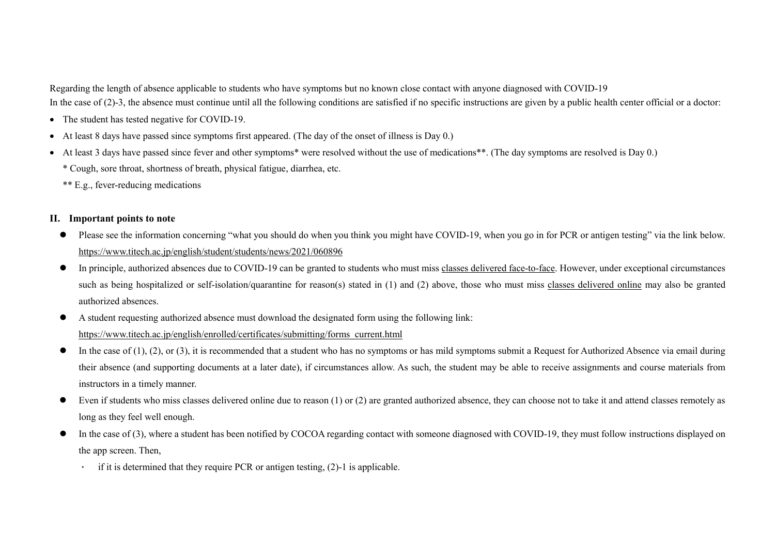Regarding the length of absence applicable to students who have symptoms but no known close contact with anyone diagnosed with COVID-19 In the case of (2)-3, the absence must continue until all the following conditions are satisfied if no specific instructions are given by a public health center official or a doctor:

- The student has tested negative for COVID-19.
- At least 8 days have passed since symptoms first appeared. (The day of the onset of illness is Day 0.)
- At least 3 days have passed since fever and other symptoms\* were resolved without the use of medications\*\*. (The day symptoms are resolved is Day 0.)
	- \* Cough, sore throat, shortness of breath, physical fatigue, diarrhea, etc.
	- \*\* E.g., fever-reducing medications

### **II. Important points to note**

- Please see the information concerning "what you should do when you think you might have COVID-19, when you go in for PCR or antigen testing" via the link below. https://www.titech.ac.jp/english/student/students/news/2021/060896
- In principle, authorized absences due to COVID-19 can be granted to students who must miss classes delivered face-to-face. However, under exceptional circumstances such as being hospitalized or self-isolation/quarantine for reason(s) stated in (1) and (2) above, those who must miss classes delivered online may also be granted authorized absences.
- A student requesting authorized absence must download the designated form using the following link: [https://www.titech.ac.jp/english/enrolled/certificates/submitting/forms\\_current.html](https://www.titech.ac.jp/english/enrolled/certificates/submitting/forms_current.html)
- $\bullet$  In the case of (1), (2), or (3), it is recommended that a student who has no symptoms or has mild symptoms submit a Request for Authorized Absence via email during their absence (and supporting documents at a later date), if circumstances allow. As such, the student may be able to receive assignments and course materials from instructors in a timely manner.
- Even if students who miss classes delivered online due to reason  $(1)$  or  $(2)$  are granted authorized absence, they can choose not to take it and attend classes remotely as long as they feel well enough.
- $\bullet$  In the case of (3), where a student has been notified by COCOA regarding contact with someone diagnosed with COVID-19, they must follow instructions displayed on the app screen. Then,
	- if it is determined that they require PCR or antigen testing,  $(2)$ -1 is applicable.